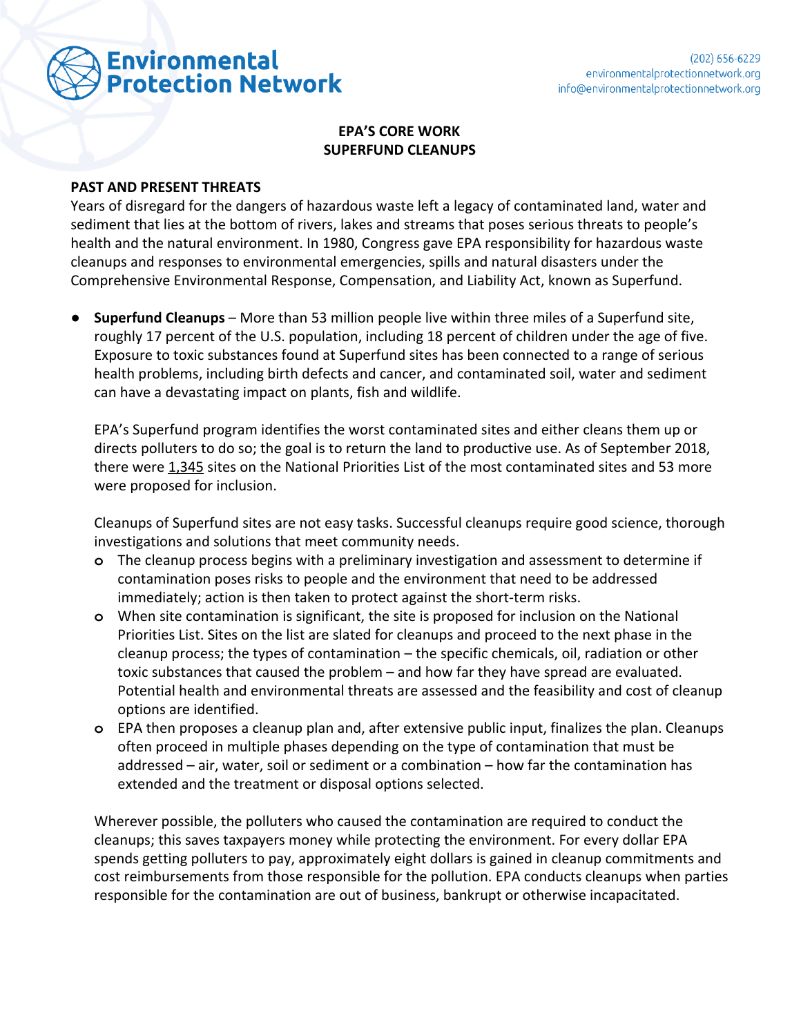

## **EPA'S CORE WORK SUPERFUND CLEANUPS**

## **PAST AND PRESENT THREATS**

Years of disregard for the dangers of hazardous waste left a legacy of contaminated land, water and sediment that lies at the bottom of rivers, lakes and streams that poses serious threats to people's health and the natural environment. In 1980, Congress gave EPA responsibility for hazardous waste cleanups and responses to environmental emergencies, spills and natural disasters under the Comprehensive Environmental Response, Compensation, and Liability Act, known as Superfund.

● **Superfund Cleanups** – More than 53 million people live within three miles of a Superfund site, roughly 17 percent of the U.S. population, including 18 percent of children under the age of five. Exposure to toxic substances found at Superfund sites has been connected to a range of serious health problems, including birth defects and cancer, and contaminated soil, water and sediment can have a devastating impact on plants, fish and wildlife.

EPA's Superfund program identifies the worst contaminated sites and either cleans them up or directs polluters to do so; the goal is to return the land to productive use. As of September 2018, there were [1,345](https://www.epa.gov/superfund/current-npl-updates-new-proposed-npl-sites-and-new-npl-sites) sites on the National Priorities List of the most contaminated sites and 53 more were proposed for inclusion.

Cleanups of Superfund sites are not easy tasks. Successful cleanups require good science, thorough investigations and solutions that meet community needs.

- **o** The cleanup process begins with a preliminary investigation and assessment to determine if contamination poses risks to people and the environment that need to be addressed immediately; action is then taken to protect against the short-term risks.
- **o** When site contamination is significant, the site is proposed for inclusion on the National Priorities List. Sites on the list are slated for cleanups and proceed to the next phase in the cleanup process; the types of contamination – the specific chemicals, oil, radiation or other toxic substances that caused the problem – and how far they have spread are evaluated. Potential health and environmental threats are assessed and the feasibility and cost of cleanup options are identified.
- **o** EPA then proposes a cleanup plan and, after extensive public input, finalizes the plan. Cleanups often proceed in multiple phases depending on the type of contamination that must be addressed – air, water, soil or sediment or a combination – how far the contamination has extended and the treatment or disposal options selected.

Wherever possible, the polluters who caused the contamination are required to conduct the cleanups; this saves taxpayers money while protecting the environment. For every dollar EPA spends getting polluters to pay, approximately eight dollars is gained in cleanup commitments and cost reimbursements from those responsible for the pollution. EPA conducts cleanups when parties responsible for the contamination are out of business, bankrupt or otherwise incapacitated.